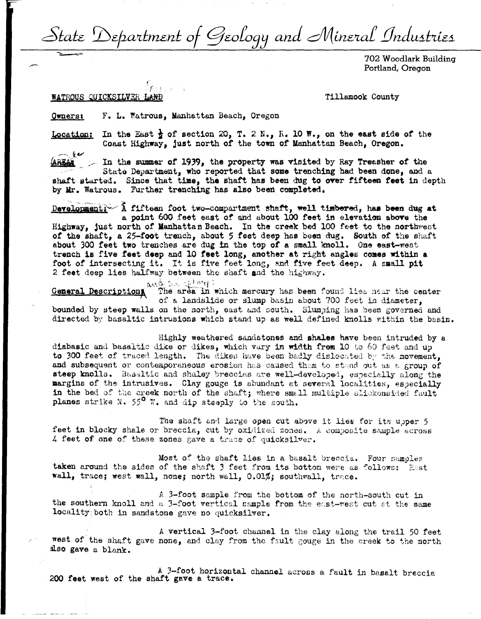State Department of Geology and Mineral Industries

702 Woodlark Building Portland, Oregon

## WATROUS QUICKSILVER LAND

Tillamook County

F. L. Watrous, Manhattan Beach, Oregon **Owners:** 

In the East  $\frac{1}{2}$  of section 20, T. 2 N., R. 10 W., on the east side of the Location: Coast Highway, just north of the town of Manhattan Beach, Oregon.

 $-\ell$ <u>(AREAA</u>

 $\sim$  In the summer of 1939, the property was visited by Ray Treasher of the State Department, who reported that some trenching had been done, and a shaft started. Since that time, the shaft has been dug to over fifteen feet in depth

by Mr. Watrous. Further trenching has also been completed.

Development: 1 fifteen foot two-compartment shaft, well timbered, has been dug at a point 600 feet east of and about 100 feet in elevation above the Highway, just north of Manhattan Beach. In the creek bed 100 feet to the northwest of the shaft, a 25-foot trench, about 5 feet deep has been dug. South of the shaft about 300 feet two trenches are dug in the top of a small knoll. One east-west trench is five feet deep and 10 feet long, another at right angles comes within a foot of intersecting it. It is five feet long, and five feet deep. A small pit 2 feet deep lies halfway between the shaft and the highway.

and sacremy: General Description The area in which mercury has been found lies near the center of a landslide or slump basin about 700 feet in diameter. bounded by steep walls on the north, east and south. Slumping has been governed and directed by basaltic intrusions which stand up as well defined knolls within the basin.

Highly weathered sandstones and shales have been intruded by a diabasic and basaltic dike or dikes, which vary in width from 10 to 60 feet and up to 300 feet of traced length. The dikes have been badly dislocated by the movement, and subsequent or contemporaneous erosion has caused them to stand out as a group of steep knolls. Basaltic and shaley breccias are well-developed, especially along the margins of the intrusives. Clay gouge is abundant at several localities, especially in the bed of the creek north of the shaft; where small multiple slickensided fault planes strike N. 55<sup>0</sup> W. and dip steeply to the south.

The shaft and large open cut above it lies for its upper 5 feet in blocky shale or breccia, cut by oxidized zones. A composite sample across 4 feet of one of these zones gave a trace of quicksilver.

Most of the shaft lies in a basalt breccia. Four samples taken around the sides of the shaft 3 feet from its bottom were as follows: East wall, trace; west wall, none; north wall, 0.01%; southwall, trace.

A 3-foot sample from the bottom of the north-south cut in the southern knoll and a 3-foot vertical sample from the east-west cut at the same locality both in sandstone gave no quicksilver.

A vertical 3-foot channel in the clay along the trail 50 feet west of the shaft gave none, and clay from the fault gouge in the creek to the north also gave a blank.

A 3-foot horizontal channel across a fault in basalt breccia 200 feet west of the shaft gave a trace.